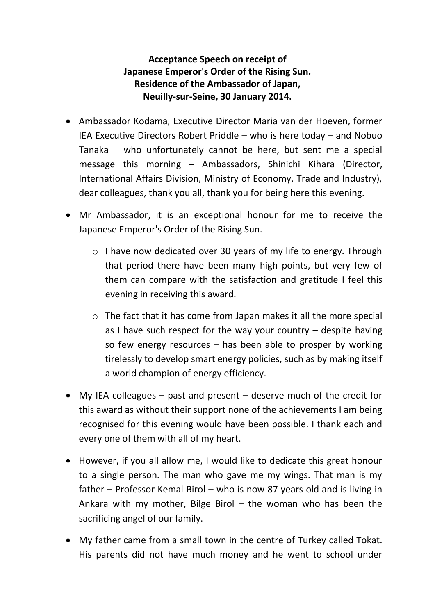## **Acceptance Speech on receipt of Japanese Emperor's Order of the Rising Sun. Residence of the Ambassador of Japan, Neuilly-sur-Seine, 30 January 2014.**

- Ambassador Kodama, Executive Director Maria van der Hoeven, former IEA Executive Directors Robert Priddle – who is here today – and Nobuo Tanaka – who unfortunately cannot be here, but sent me a special message this morning – Ambassadors, Shinichi Kihara (Director, International Affairs Division, Ministry of Economy, Trade and Industry), dear colleagues, thank you all, thank you for being here this evening.
- Mr Ambassador, it is an exceptional honour for me to receive the Japanese Emperor's Order of the Rising Sun.
	- o I have now dedicated over 30 years of my life to energy. Through that period there have been many high points, but very few of them can compare with the satisfaction and gratitude I feel this evening in receiving this award.
	- o The fact that it has come from Japan makes it all the more special as I have such respect for the way your country – despite having so few energy resources – has been able to prosper by working tirelessly to develop smart energy policies, such as by making itself a world champion of energy efficiency.
- My IEA colleagues past and present deserve much of the credit for this award as without their support none of the achievements I am being recognised for this evening would have been possible. I thank each and every one of them with all of my heart.
- However, if you all allow me, I would like to dedicate this great honour to a single person. The man who gave me my wings. That man is my father – Professor Kemal Birol – who is now 87 years old and is living in Ankara with my mother, Bilge Birol  $-$  the woman who has been the sacrificing angel of our family.
- My father came from a small town in the centre of Turkey called Tokat. His parents did not have much money and he went to school under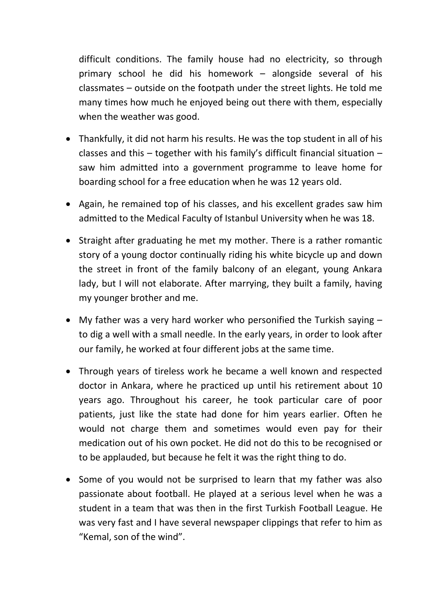difficult conditions. The family house had no electricity, so through primary school he did his homework – alongside several of his classmates – outside on the footpath under the street lights. He told me many times how much he enjoyed being out there with them, especially when the weather was good.

- Thankfully, it did not harm his results. He was the top student in all of his classes and this – together with his family's difficult financial situation – saw him admitted into a government programme to leave home for boarding school for a free education when he was 12 years old.
- Again, he remained top of his classes, and his excellent grades saw him admitted to the Medical Faculty of Istanbul University when he was 18.
- Straight after graduating he met my mother. There is a rather romantic story of a young doctor continually riding his white bicycle up and down the street in front of the family balcony of an elegant, young Ankara lady, but I will not elaborate. After marrying, they built a family, having my younger brother and me.
- My father was a very hard worker who personified the Turkish saying to dig a well with a small needle. In the early years, in order to look after our family, he worked at four different jobs at the same time.
- Through years of tireless work he became a well known and respected doctor in Ankara, where he practiced up until his retirement about 10 years ago. Throughout his career, he took particular care of poor patients, just like the state had done for him years earlier. Often he would not charge them and sometimes would even pay for their medication out of his own pocket. He did not do this to be recognised or to be applauded, but because he felt it was the right thing to do.
- Some of you would not be surprised to learn that my father was also passionate about football. He played at a serious level when he was a student in a team that was then in the first Turkish Football League. He was very fast and I have several newspaper clippings that refer to him as "Kemal, son of the wind".